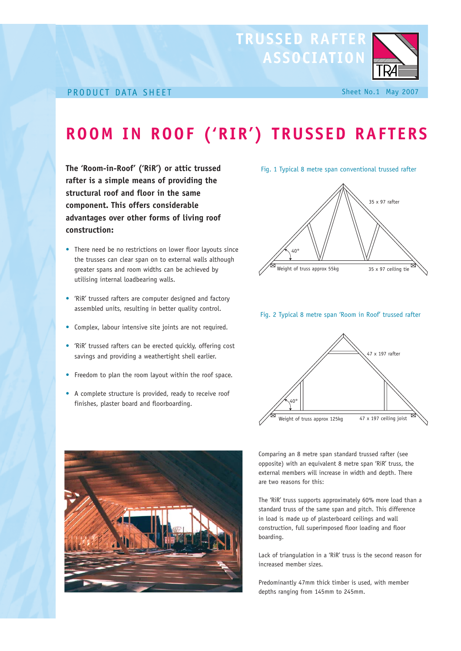## **TRUSSED RAFTER ASSOCIATION**

## PRODUCT DATA SHEET Sheet No.1 May 2007

# **ROOM IN ROOF ('RIR') TRUSSED RAFTERS**

**The 'Room-in-Roof' ('RiR') or attic trussed rafter is a simple means of providing the structural roof and floor in the same component. This offers considerable advantages over other forms of living roof construction:**

- There need be no restrictions on lower floor layouts since the trusses can clear span on to external walls although greater spans and room widths can be achieved by utilising internal loadbearing walls.
- 'RiR' trussed rafters are computer designed and factory assembled units, resulting in better quality control.
- Complex, labour intensive site joints are not required.
- 'RiR' trussed rafters can be erected quickly, offering cost savings and providing a weathertight shell earlier.
- Freedom to plan the room layout within the roof space.
- A complete structure is provided, ready to receive roof finishes, plaster board and floorboarding.

Fig. 1 Typical 8 metre span conventional trussed rafter



#### Fig. 2 Typical 8 metre span 'Room in Roof' trussed rafter





Comparing an 8 metre span standard trussed rafter (see opposite) with an equivalent 8 metre span 'RiR' truss, the external members will increase in width and depth. There are two reasons for this:

The 'RiR' truss supports approximately 60% more load than a standard truss of the same span and pitch. This difference in load is made up of plasterboard ceilings and wall construction, full superimposed floor loading and floor boarding.

Lack of triangulation in a 'RiR' truss is the second reason for increased member sizes.

Predominantly 47mm thick timber is used, with member depths ranging from 145mm to 245mm.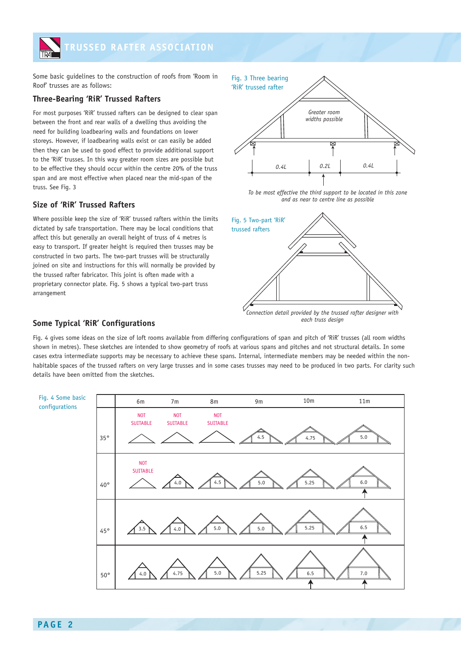

Some basic guidelines to the construction of roofs from 'Room in Roof' trusses are as follows:

## **Three-Bearing 'RiR' Trussed Rafters**

For most purposes 'RiR' trussed rafters can be designed to clear span between the front and rear walls of a dwelling thus avoiding the need for building loadbearing walls and foundations on lower storeys. However, if loadbearing walls exist or can easily be added then they can be used to good effect to provide additional support to the 'RiR' trusses. In this way greater room sizes are possible but to be effective they should occur within the centre 20% of the truss span and are most effective when placed near the mid-span of the truss. See Fig. 3

## **Size of 'RiR' Trussed Rafters**

Where possible keep the size of 'RiR' trussed rafters within the limits dictated by safe transportation. There may be local conditions that affect this but generally an overall height of truss of 4 metres is easy to transport. If greater height is required then trusses may be constructed in two parts. The two-part trusses will be structurally joined on site and instructions for this will normally be provided by the trussed rafter fabricator. This joint is often made with a proprietary connector plate. Fig. 5 shows a typical two-part truss arrangement



*To be most effective the third support to be located in this zone and as near to centre line as possible*



*each truss design*

### **Some Typical 'RiR' Configurations**

Fig. 4 gives some ideas on the size of loft rooms available from differing configurations of span and pitch of 'RiR' trusses (all room widths shown in metres). These sketches are intended to show geometry of roofs at various spans and pitches and not structural details. In some cases extra intermediate supports may be necessary to achieve these spans. Internal, intermediate members may be needed within the nonhabitable spaces of the trussed rafters on very large trusses and in some cases trusses may need to be produced in two parts. For clarity such details have been omitted from the sketches.

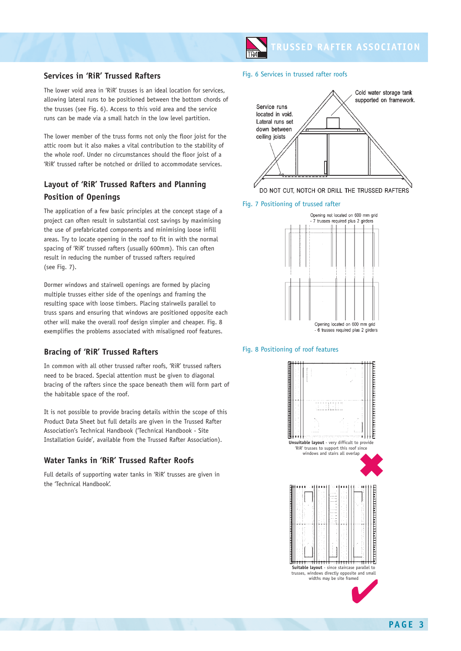## **TRUSSED RAFTER ASSOCIATION**

### **Services in 'RiR' Trussed Rafters**

The lower void area in 'RiR' trusses is an ideal location for services, allowing lateral runs to be positioned between the bottom chords of the trusses (see Fig. 6). Access to this void area and the service runs can be made via a small hatch in the low level partition.

The lower member of the truss forms not only the floor joist for the attic room but it also makes a vital contribution to the stability of the whole roof. Under no circumstances should the floor joist of a 'RiR' trussed rafter be notched or drilled to accommodate services.

## **Layout of 'RiR' Trussed Rafters and Planning Position of Openings**

The application of a few basic principles at the concept stage of a project can often result in substantial cost savings by maximising the use of prefabricated components and minimising loose infill areas. Try to locate opening in the roof to fit in with the normal spacing of 'RiR' trussed rafters (usually 600mm). This can often result in reducing the number of trussed rafters required (see Fig. 7).

Dormer windows and stairwell openings are formed by placing multiple trusses either side of the openings and framing the resulting space with loose timbers. Placing stairwells parallel to truss spans and ensuring that windows are positioned opposite each other will make the overall roof design simpler and cheaper. Fig. 8 exemplifies the problems associated with misaligned roof features.

## **Bracing of 'RiR' Trussed Rafters**

In common with all other trussed rafter roofs, 'RiR' trussed rafters need to be braced. Special attention must be given to diagonal bracing of the rafters since the space beneath them will form part of the habitable space of the roof.

It is not possible to provide bracing details within the scope of this Product Data Sheet but full details are given in the Trussed Rafter Association's Technical Handbook ('Technical Handbook - Site Installation Guide', available from the Trussed Rafter Association).

## **Water Tanks in 'RiR' Trussed Rafter Roofs**

Full details of supporting water tanks in 'RiR' trusses are given in the 'Technical Handbook'.

#### Fig. 6 Services in trussed rafter roofs



Fig. 7 Positioning of trussed rafter



#### Fig. 8 Positioning of roof features